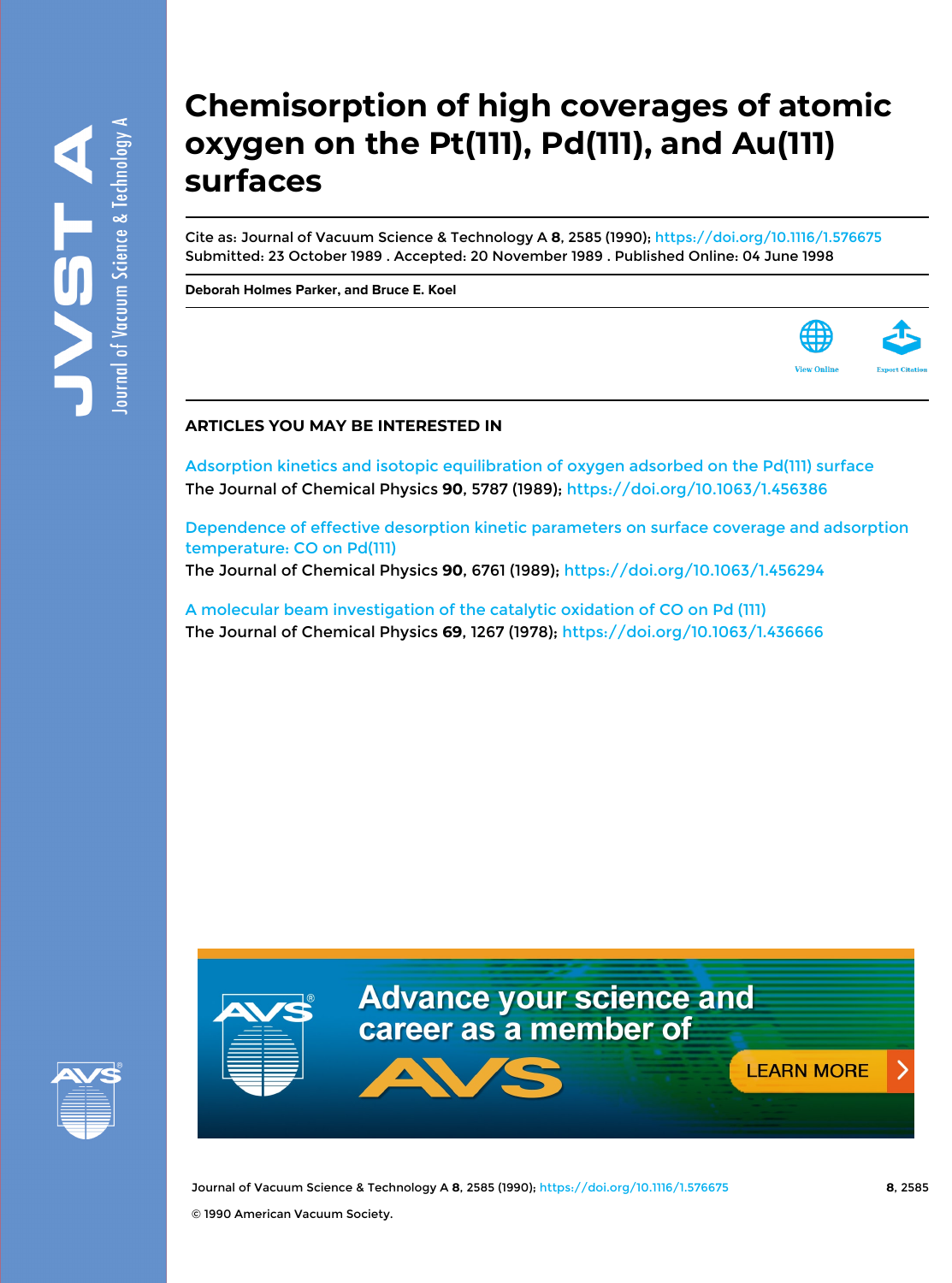# **Chemisorption of high coverages of atomic oxygen on the Pt(111), Pd(111), and Au(111) surfaces**

Cite as: Journal of Vacuum Science & Technology A **8**, 2585 (1990); <https://doi.org/10.1116/1.576675> Submitted: 23 October 1989 . Accepted: 20 November 1989 . Published Online: 04 June 1998

**[Deborah Holmes Parker,](https://avs.scitation.org/author/Parker%2C+Deborah+Holmes) and [Bruce E. Koel](https://avs.scitation.org/author/Koel%2C+Bruce+E)**



### **ARTICLES YOU MAY BE INTERESTED IN**

[Adsorption kinetics and isotopic equilibration of oxygen adsorbed on the Pd\(111\) surface](https://avs.scitation.org/doi/10.1063/1.456386) The Journal of Chemical Physics **90**, 5787 (1989);<https://doi.org/10.1063/1.456386>

[Dependence of effective desorption kinetic parameters on surface coverage and adsorption](https://avs.scitation.org/doi/10.1063/1.456294) [temperature: CO on Pd\(111\)](https://avs.scitation.org/doi/10.1063/1.456294)

The Journal of Chemical Physics **90**, 6761 (1989);<https://doi.org/10.1063/1.456294>

[A molecular beam investigation of the catalytic oxidation of CO on Pd \(111\)](https://avs.scitation.org/doi/10.1063/1.436666) The Journal of Chemical Physics **69**, 1267 (1978);<https://doi.org/10.1063/1.436666>





Journal of Vacuum Science & Technology A **8**, 2585 (1990); <https://doi.org/10.1116/1.576675> **8**, 2585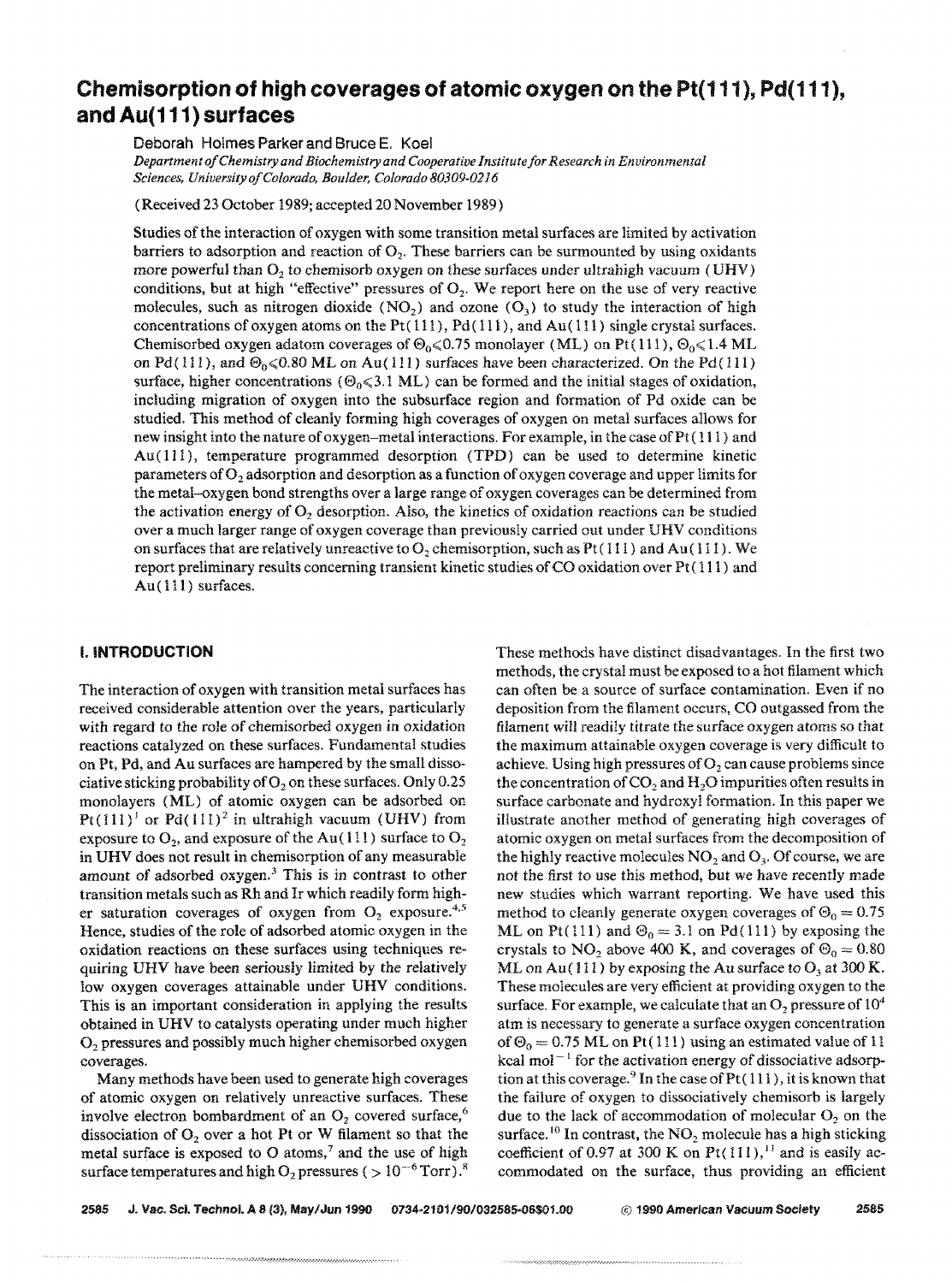## Chemisorption **of high** coverages of atomic oxygen on the Pt( 111), Pd( 111), and Au( 111) surfaces

Deborah Holmes Parker and Bruce E. Koel

*Department o/Chemistry and Biochemistry and Cooperative Institute/or Research in Environmental Sciences, Universityo/Colorado, Boulder, Colorado 80309-0216* 

(Received 23 October 1989; accepted 20 November 1989)

Studies of the interaction of oxygen with some transition metal surfaces are limited by activation barriers to adsorption and reaction of  $O<sub>2</sub>$ . These barriers can be surmounted by using oxidants more powerful than  $O_2$  to chemisorb oxygen on these surfaces under ultrahigh vacuum (UHV) conditions, but at high "effective" pressures of  $O<sub>2</sub>$ . We report here on the use of very reactive molecules, such as nitrogen dioxide  $(NO<sub>2</sub>)$  and ozone  $(O<sub>3</sub>)$  to study the interaction of high concentrations of oxygen atoms on the Pt( $111$ ), Pd( $111$ ), and Au( $111$ ) single crystal surfaces. Chemisorbed oxygen adatom coverages of  $\Theta_0 \le 0.75$  monolayer (ML) on Pt(111),  $\Theta_0 \le 1.4$  ML on Pd(111), and  $\Theta_0 \le 0.80$  ML on Au(111) surfaces have been characterized. On the Pd(111) surface, higher concentrations ( $\Theta_0 \le 3.1 \text{ ML}$ ) can be formed and the initial stages of oxidation, including migration of oxygen into the subsurface region and formation of Pd oxide can be studied. This method of cleanly forming high coverages of oxygen on metal surfaces allows for new insight into the nature of oxygen-metal interactions. For example, in the case of  $Pt(111)$  and Au (111 ), temperature programmed desorption (TPD) can be used to determine kinetic parameters of  $O<sub>2</sub>$  adsorption and desorption as a function of oxygen coverage and upper limits for the metal-oxygen bond strengths over a large range of oxygen coverages can be determined from the activation energy of  $O<sub>2</sub>$  desorption. Also, the kinetics of oxidation reactions can be studied over a much larger range of oxygen coverage than previously carried out under UHV conditions on surfaces that are relatively unreactive to  $O_2$  chemisorption, such as Pt(111) and Au(111). We report preliminary results concerning transient kinetic studies of CO oxidation over  $Pt(111)$  and Au(111) surfaces.

#### I. INTRODUCTION

The interaction of oxygen with transition metal surfaces has received considerable attention over the years, particularly with regard to the role of chemisorbed oxygen in oxidation reactions catalyzed on these surfaces. Fundamental studies on Pt, Pd, and Au surfaces are hampered by the small dissociative sticking probability of  $O<sub>2</sub>$  on these surfaces. Only 0.25 monolayers (ML) of atomic oxygen can be adsorbed on  $Pt(111)<sup>1</sup>$  or Pd(111)<sup>2</sup> in ultrahigh vacuum (UHV) from exposure to  $O_2$ , and exposure of the Au (111) surface to  $O_2$ in UHV does not result in chemisorption of any measurable amount of adsorbed oxygen.<sup>3</sup> This is in contrast to other transition metals such as Rh and Ir which readily form higher saturation coverages of oxygen from  $O_2$  exposure.<sup>4,5</sup> Hence, studies of the role of adsorbed atomic oxygen in the oxidation reactions on these surfaces using techniques requiring URY have been seriously limited by the relatively low oxygen coverages attainable under UHV conditions. This is an important consideration in applying the results obtained in URY to catalysts operating under much higher O<sub>2</sub> pressures and possibly much higher chemisorbed oxygen coverages.

Many methods have been used to generate high coverages of atomic oxygen on relatively unreactive surfaces. These involve electron bombardment of an  $O<sub>2</sub>$  covered surface,<sup>6</sup> dissociation of  $O_2$  over a hot Pt or W filament so that the metal surface is exposed to  $O$  atoms,<sup>7</sup> and the use of high surface temperatures and high  $O_2$  pressures (  $> 10^{-6}$  Torr).<sup>8</sup> These methods have distinct disadvantages. In the first two methods, the crystal must be exposed to a hot filament which can often be a source of surface contamination. Even if no deposition from the filament occurs, CO outgassed from the filament will readily titrate the surface oxygen atoms so that the maximum attainable oxygen coverage is very difficult to achieve. Using high pressures of  $O<sub>2</sub>$  can cause problems since the concentration of  $CO<sub>2</sub>$  and  $H<sub>2</sub>O$  impurities often results in surface carbonate and hydroxyl formation. In this paper we illustrate another method of generating high coverages of atomic oxygen on metal surfaces from the decomposition of the highly reactive molecules  $NO<sub>2</sub>$  and  $O<sub>3</sub>$ . Of course, we are not the first to use this method, but we have recently made new studies which warrant reporting. We have used this method to cleanly generate oxygen coverages of  $\Theta_0 = 0.75$ ML on Pt(111) and  $\Theta_0 = 3.1$  on Pd(111) by exposing the crystals to NO<sub>2</sub> above 400 K, and coverages of  $\Theta_0 = 0.80$ ML on Au(111) by exposing the Au surface to  $O_3$  at 300 K. These molecules are very efficient at providing oxygen to the surface. For example, we calculate that an  $O_2$  pressure of  $10^4$ atm is necessary to generate a surface oxygen concentration of  $\Theta_0 = 0.75$  ML on Pt(111) using an estimated value of 11 kcal mol<sup> $-1$ </sup> for the activation energy of dissociative adsorption at this coverage.<sup>9</sup> In the case of  $Pt(111)$ , it is known that the failure of oxygen to dissociatively chemisorb is largely due to the lack of accommodation of molecular  $O<sub>2</sub>$  on the surface.<sup>10</sup> In contrast, the  $NO<sub>2</sub>$  molecule has a high sticking coefficient of 0.97 at 300 K on Pt(111),<sup>11</sup> and is easily accommodated on the surface, thus providing an efficient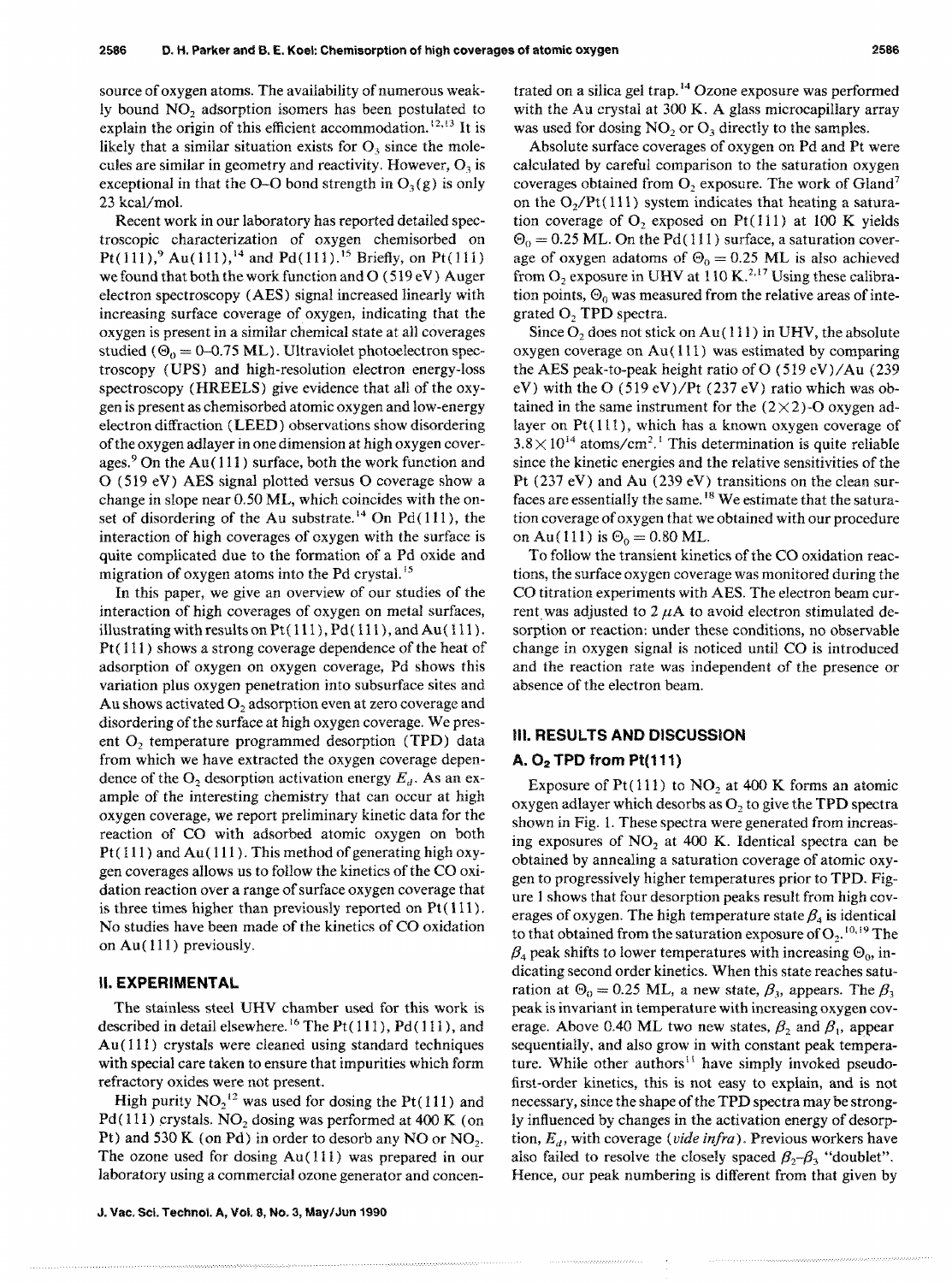source of oxygen atoms. The availability of numerous weakly bound NO<sub>2</sub> adsorption isomers has been postulated to explain the origin of this efficient accommodation.  $12, 13$  It is likely that a similar situation exists for  $O<sub>3</sub>$  since the molecules are similar in geometry and reactivity. However,  $O_3$  is exceptional in that the O-O bond strength in  $O_3(g)$  is only 23 kcal/mol.

Recent work in our laboratory has reported detailed spectroscopic characterization of oxygen chemisorbed on Pt(111),<sup>9</sup> Au(111),<sup>14</sup> and Pd(111).<sup>15</sup> Briefly, on Pt(111) we found that both the work function and  $O(519 eV)$  Auger electron spectroscopy (AES) signal increased linearly with increasing surface coverage of oxygen, indicating that the oxygen is present in a similar chemical state at all coverages studied ( $\Theta_0 = 0$ -0.75 ML). Ultraviolet photoelectron spectroscopy (UPS) and high-resolution electron energy-loss spectroscopy (HREELS) give evidence that all of the oxygen is present as chemisorbed atomic oxygen and low-energy electron diffraction (LEED) observations show disordering of the oxygen adlayer in one dimension at high oxygen coverages.9 On the Au( 111) surface, both the work function and o (519 eV) AES signal plotted versus 0 coverage show a change in slope near 0.50 ML, which coincides with the onset of disordering of the Au substrate.<sup>14</sup> On Pd(111), the interaction of high coverages of oxygen with the surface is quite complicated due to the formation of a Pd oxide and migration of oxygen atoms into the Pd crystal.<sup>15</sup>

In this paper, we give an overview of our studies of the interaction of high coverages of oxygen on metal surfaces, illustrating with results on  $Pt(111)$ ,  $Pd(111)$ , and  $Au(111)$ . Pt(111) shows a strong coverage dependence of the heat of adsorption of oxygen on oxygen coverage, Pd shows this variation plus oxygen penetration into subsurface sites and Au shows activated  $O_2$  adsorption even at zero coverage and disordering of the surface at high oxygen coverage. We present  $O_2$  temperature programmed desorption (TPD) data from which we have extracted the oxygen coverage dependence of the  $O_2$  desorption activation energy  $E_d$ . As an example of the interesting chemistry that can occur at high oxygen coverage, we report preliminary kinetic data for the reaction of CO with adsorbed atomic oxygen on both  $Pt(111)$  and  $Au(111)$ . This method of generating high oxygen coverages allows us to follow the kinetics of the CO oxidation reaction over a range of surface oxygen coverage that is three times higher than previously reported on  $Pt(111)$ . No studies have been made of the kinetics of CO oxidation on Au( 111) previously.

#### II. EXPERIMENTAL

The stainless steel UHV chamber used for this work is described in detail elsewhere.<sup>16</sup> The Pt $(111)$ , Pd $(111)$ , and Au( $111$ ) crystals were cleaned using standard techniques with special care taken to ensure that impurities which form refractory oxides were not present.

High purity  $NO_2$ <sup>12</sup> was used for dosing the Pt(111) and Pd(111) crystals.  $NO<sub>2</sub>$  dosing was performed at 400 K (on Pt) and 530 K (on Pd) in order to desorb any NO or NO<sub>2</sub>. The ozone used for dosing Au( 111) was prepared in our laboratory using a commercial ozone generator and concentrated on a silica gel trap.<sup>14</sup> Ozone exposure was performed with the Au crystal at 300 K. A glass microcapillary array was used for dosing  $NO<sub>2</sub>$  or  $O<sub>3</sub>$  directly to the samples.

Absolute surface coverages of oxygen on Pd and Pt were calculated by careful comparison to the saturation oxygen coverages obtained from  $O_2$  exposure. The work of Gland<sup>7</sup> on the  $O_2/Pt(111)$  system indicates that heating a saturation coverage of  $O_2$ , exposed on Pt(111) at 100 K yields  $\Theta_0 = 0.25$  ML. On the Pd(111) surface, a saturation coverage of oxygen adatoms of  $\Theta_0 = 0.25$  ML is also achieved from  $O_2$  exposure in UHV at 110 K.<sup>2,17</sup> Using these calibration points,  $\Theta_0$  was measured from the relative areas of integrated  $O<sub>2</sub>$  TPD spectra.

Since  $O_2$  does not stick on Au(111) in UHV, the absolute oxygen coverage on Au( 111) was estimated by comparing the AES peak-to-peak height ratio of 0 (519 cV)/Au (239 eV) with the O  $(519 \text{ eV})/Pt$  (237 eV) ratio which was obtained in the same instrument for the  $(2 \times 2)$ -O oxygen adlayer on  $Pt(111)$ , which has a known oxygen coverage of  $3.8 \times 10^{14}$  atoms/cm<sup>2</sup>.<sup>1</sup> This determination is quite reliable since the kinetic energies and the relative sensitivities of the Pt (237 eV) and Au (239 eV) transitions on the clean surfaces arc essentially the same. 18 We estimate that the saturation coverage of oxygen that we obtained with our procedure on Au(111) is  $\Theta_0 = 0.80$  ML.

To follow the transient kinetics of the CO oxidation reactions, the surface oxygen coverage was monitored during the CO titration experiments with AES. The electron beam current was adjusted to  $2 \mu A$  to avoid electron stimulated desorption or reaction: under these conditions, no observable change in oxygen signal is noticed until CO is introduced and the reaction rate was independent of the presence or absence of the electron beam.

#### III. RESULTS AND DISCUSSION

#### A.  $O<sub>2</sub>$  TPD from Pt(111)

Exposure of Pt(111) to  $NO<sub>2</sub>$  at 400 K forms an atomic oxygen adlayer which desorbs as  $O<sub>2</sub>$  to give the TPD spectra shown in Fig. 1. These spectra were generated from increasing exposures of  $NO<sub>2</sub>$  at 400 K. Identical spectra can be obtained by annealing a saturation coverage of atomic oxygen to progressively higher temperatures prior to TPD. Figure I shows that four desorption peaks result from high coverages of oxygen. The high temperature state  $\beta_4$  is identical to that obtained from the saturation exposure of  $O_2$ .<sup>10,19</sup> The  $\beta_4$  peak shifts to lower temperatures with increasing  $\Theta_0$ , indicating second order kinetics. When this state reaches saturation at  $\Theta_0 = 0.25$  ML, a new state,  $\beta_3$ , appears. The  $\beta_3$ peak is invariant in temperature with increasing oxygen coverage. Above 0.40 ML two new states,  $\beta_2$  and  $\beta_1$ , appear sequentially, and also grow in with constant peak temperature. While other authors<sup> $11$ </sup> have simply invoked pseudofirst-order kinetics, this is not easy to explain, and is not necessary, since the shape of the TPD spectra may be strongly influenced by changes in the activation energy of desorption, *Ed'* with coverage *(vide infra).* Previous workers have also failed to resolve the closely spaced  $\beta_2 - \beta_3$  "doublet". Hence, our peak numbering is different from that given by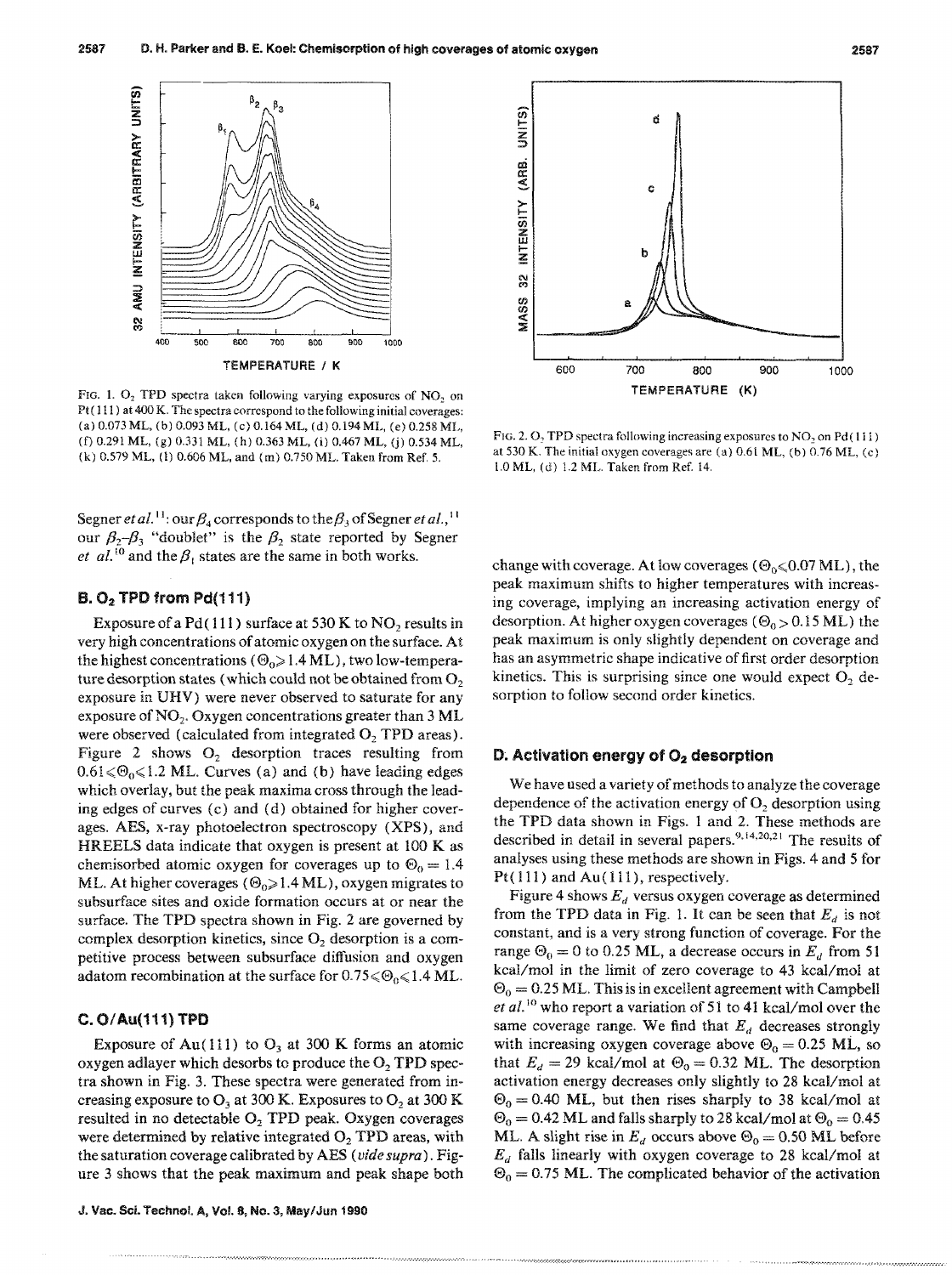

FIG. 1.  $O_2$  TPD spectra taken following varying exposures of NO, on Pt ( $111$ ) at 400 K. The spectra correspond to the following initial coverages: (a) 0.073 ML, (b) 0.093 ML, (c) 0.164 ML, (d) 0.194 ML, (e) 0.258 ML, (f) 0.291 ML, (g) 0.331 ML, (h) 0.363 ML, (i) 0.467 ML, (j) 0.534 ML, (k) 0.579 ML, (l) 0.606 ML, and (m) 0.750 ML. Taken from Ref. 5.

Segner *et al.*<sup>11</sup>: our  $\beta_4$  corresponds to the  $\beta_3$  of Segner *et al.*,<sup>11</sup> our  $\beta_2-\beta_3$  "doublet" is the  $\beta_2$  state reported by Segner *et al.*<sup>10</sup> and the  $\beta_1$  states are the same in both works.

#### $B. O<sub>2</sub>$  TPD from Pd(111)

Exposure of a Pd( $111$ ) surface at 530 K to NO<sub>2</sub> results in very high concentrations of atomic oxygen on the surface. At the highest concentrations ( $\Theta_0 \geq 1.4$  ML), two low-temperature desorption states (which could not be obtained from  $O<sub>2</sub>$ exposure in DRV) were never observed to saturate for any exposure of  $NO<sub>2</sub>$ . Oxygen concentrations greater than 3 ML were observed (calculated from integrated  $O$ , TPD areas). Figure 2 shows  $O_2$  desorption traces resulting from  $0.61 \le \Theta_0 \le 1.2$  ML. Curves (a) and (b) have leading edges which overlay, but the peak maxima cross through the leading edges of curves (c) and (d) obtained for higher coverages. AES, x-ray photoelectron spectroscopy (XPS), and HREELS data indicate that oxygen is present at 100 K as chemisorbed atomic oxygen for coverages up to  $\Theta_0 = 1.4$ ML. At higher coverages ( $\Theta_0 \ge 1.4$  ML), oxygen migrates to subsurface sites and oxide formation occurs at or near the surface. The TPD spectra shown in Fig. 2 are governed by complex desorption kinetics, since  $O_2$  desorption is a competitive process between subsurface diffusion and oxygen adatom recombination at the surface for  $0.75 \le \Theta_0 \le 1.4$  ML.

#### C. O/Au(111) TPD

Exposure of Au(111) to  $O_3$  at 300 K forms an atomic oxygen adlayer which desorbs to produce the  $O<sub>2</sub> TPD$  spectra shown in Fig. 3. These spectra were generated from increasing exposure to  $O_3$  at 300 K. Exposures to  $O_2$  at 300 K resulted in no detectable O<sub>2</sub> TPD peak. Oxygen coverages were determined by relative integrated  $O<sub>2</sub>$  TPD areas, with the saturation coverage calibrated by AES *(vide supra).* Figure 3 shows that the peak maximum and peak shape both



FIG. 2.  $O_2$  TPD spectra following increasing exposures to  $NO_2$  on Pd(111) at 530 K. The initial oxygen coverages are (a) 0.61 ML, (b) 0.76 ML, (c) LO ML, (d) 1.2 ML. Taken from Ref. 14.

change with coverage. At low coverages ( $\Theta_0 \le 0.07$  ML), the peak maximum shifts to higher temperatures with increasing coverage, implying an increasing activation energy of desorption. At higher oxygen coverages ( $\Theta_0 > 0.15$  ML) the peak maximum is only slightly dependent on coverage and has an asymmetric shape indicative of first order desorption kinetics. This is surprising since one would expect  $O_2$  desorption to follow second order kinetics.

#### D. Activation energy of  $O<sub>2</sub>$  desorption

We have used a variety of methods to analyze the coverage dependence of the activation energy of  $O<sub>2</sub>$  desorption using the TPD data shown in Figs. 1 and 2. These methods are described in detail in several papers.<sup>9,14,20,21</sup> The results of analyses using these methods are shown in Figs. 4 and 5 for Pt $(111)$  and Au $(111)$ , respectively.

Figure 4 shows  $E_d$  versus oxygen coverage as determined from the TPD data in Fig. 1. It can be seen that  $E_d$  is not constant, and is a very strong function of coverage. For the range  $\Theta_0 = 0$  to 0.25 ML, a decrease occurs in  $E_d$  from 51 kcal/mol in the limit of zero coverage to 43 kcal/mol at  $\Theta_0 = 0.25$  ML. This is in excellent agreement with Campbell *et al.*<sup>10</sup> who report a variation of 51 to 41 kcal/mol over the same coverage range. We find that  $E_d$  decreases strongly with increasing oxygen coverage above  $\Theta_0 = 0.25$  ML, so that  $E_d = 29$  kcal/mol at  $\Theta_0 = 0.32$  ML. The desorption activation energy decreases only slightly to 28 kcal/mol at  $\Theta_0 = 0.40$  ML, but then rises sharply to 38 kcal/mol at  $\Theta_0 = 0.42$  ML and falls sharply to 28 kcal/mol at  $\Theta_0 = 0.45$ ML. A slight rise in  $E_d$  occurs above  $\Theta_0 = 0.50$  ML before *Ed* falls linearly with oxygen coverage to 28 kcal/mol at  $\Theta_0 = 0.75$  ML. The complicated behavior of the activation

.•.••.•••••.••••••••••• :.:.:-:.:.: ....... .:-••••• - ••••• -•.• *-••••••••• -, •• ' ••. n •••* • •• , ••••••• \_.~T~; •• '7 ••••••••• \_ •••••• \_ ••••••• \_ •••••••••••••••••• ~ ••••••••• ' ••••••• y ••••••••••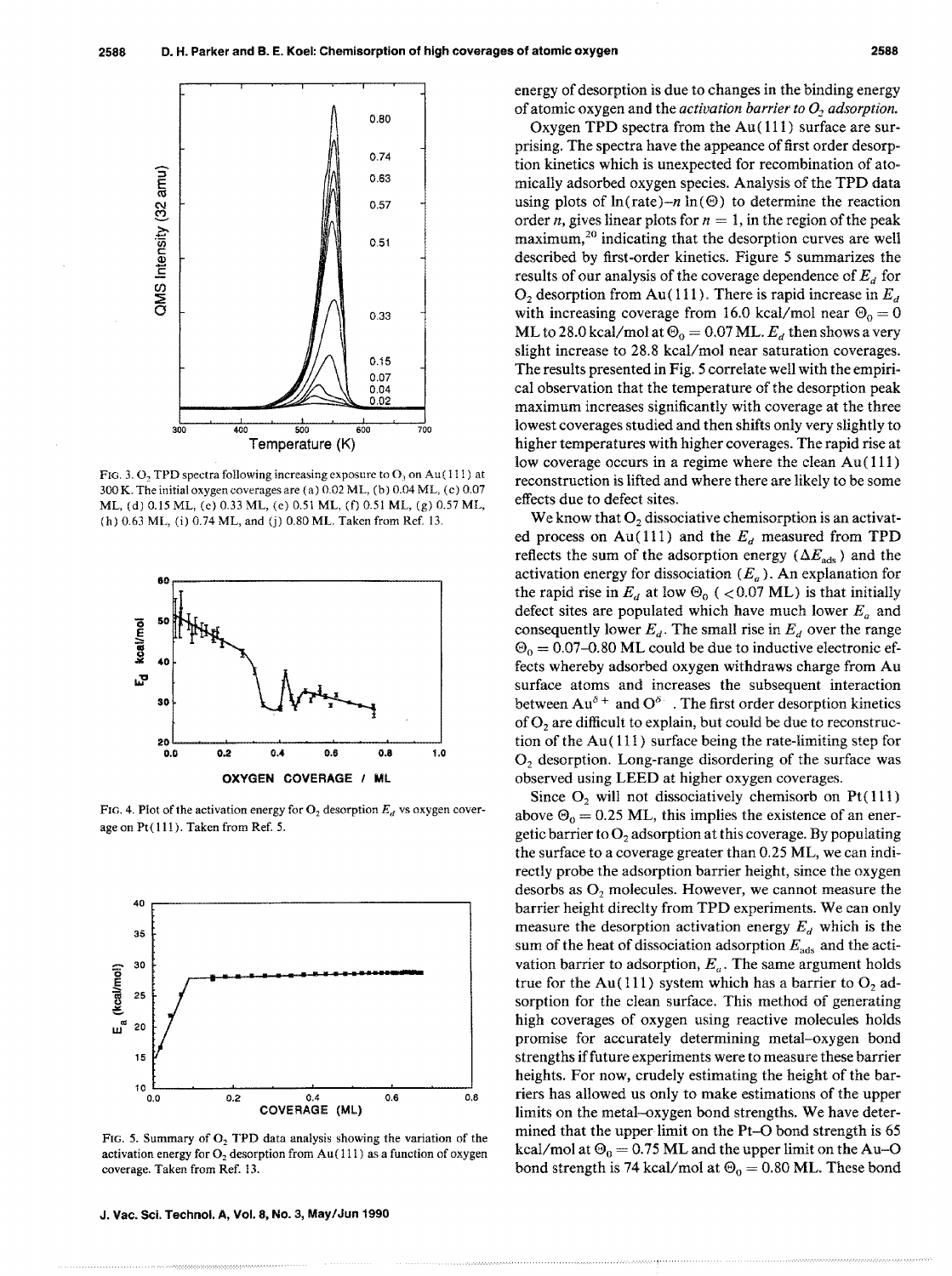

FIG. 3.  $O_2$  TPD spectra following increasing exposure to  $O_3$  on Au(111) at 300 K. The initial oxygen coverages are (a) 0.02 ML, (b) 0.04 ML, (e) 0.07 ML, (d) 0.15 ML, (e) 0.33 ML, (e) 0.51 ML. (f) O.Sl ML, (g) 0.57 ML, (h) 0.63 ML, (i) 0.74 ML, and (j) 0.80 ML. Taken from Ref. 13.



FIG. 4. Plot of the activation energy for  $O_2$  desorption  $E_d$  vs oxygen coverage on  $Pt(111)$ . Taken from Ref. 5.



FIG. 5. Summary of  $O<sub>2</sub>$  TPD data analysis showing the variation of the activation energy for  $O_2$  desorption from Au(111) as a function of oxygen coverage. Taken from Ref. 13.

J. Vac. Sci. Technol. A, Vol. 8, No.3, May/Jun 1990

energy of desorption is due to changes in the binding energy of atomic oxygen and the *activation barrier to O<sub>2</sub> adsorption*.

Oxygen TPD spectra from the Au( 111) surface are surprising. The spectra have the appeance of first order desorption kinetics which is unexpected for recombination of atomically adsorbed oxygen species. Analysis of the TPD data using plots of  $ln(\text{rate})-n \ln(\Theta)$  to determine the reaction order *n*, gives linear plots for  $n = 1$ , in the region of the peak maximum,20 indicating that the desorption curves are well described by first-order kinetics. Figure 5 summarizes the results of our analysis of the coverage dependence of  $E<sub>d</sub>$  for  $O_2$  desorption from Au(111). There is rapid increase in  $E_d$ with increasing coverage from 16.0 kcal/mol near  $\Theta_0 = 0$ ML to 28.0 kcal/mol at  $\Theta_0 = 0.07$  ML.  $E_d$  then shows a very slight increase to 28.8 kcal/mol near saturation coverages. The results presented in Fig. 5 correlate well with the empirical observation that the temperature of the desorption peak maximum increases significantly with coverage at the three lowest coverages studied and then shifts only very slightly to higher temperatures with higher coverages. The rapid rise at low coverage occurs in a regime where the clean Au( 111) reconstruction is lifted and where there are likely to be some effects due to defect sites.

We know that  $O<sub>2</sub>$  dissociative chemisorption is an activated process on Au(111) and the  $E_d$  measured from TPD reflects the sum of the adsorption energy ( $\Delta E_{ads}$ ) and the activation energy for dissociation *CEa).* An explanation for the rapid rise in  $E_d$  at low  $\Theta_0$  ( < 0.07 ML) is that initially defect sites are populated which have much lower  $E_a$  and consequently lower  $E_d$ . The small rise in  $E_d$  over the range  $\Theta_0 = 0.07$ –0.80 ML could be due to inductive electronic effects whereby adsorbed oxygen withdraws charge from Au surface atoms and increases the subsequent interaction between  $Au^{\delta+}$  and  $O^{\delta-}$ . The first order desorption kinetics of O<sub>2</sub> are difficult to explain, but could be due to reconstruction of the Au( 111) surface being the rate-limiting step for  $O<sub>2</sub>$  desorption. Long-range disordering of the surface was observed using LEED at higher oxygen coverages.

Since  $O_2$  will not dissociatively chemisorb on Pt $(111)$ above  $\Theta_0 = 0.25$  ML, this implies the existence of an energetic barrier to  $O<sub>2</sub>$  adsorption at this coverage. By populating the surface to a coverage greater than 0.25 ML, we can indirectly probe the adsorption barrier height, since the oxygen desorbs as  $O<sub>2</sub>$  molecules. However, we cannot measure the barrier height direclty from TPD experiments. We can only measure the desorption activation energy  $E_d$  which is the sum of the heat of dissociation adsorption *Eads* and the activation barrier to adsorption,  $E_a$ . The same argument holds true for the Au(111) system which has a barrier to  $O<sub>2</sub>$  adsorption for the clean surface. This method of generating high coverages of oxygen using reactive molecules holds promise for accurately determining metal-oxygen bond strengths iffuture experiments were to measure these barrier heights. For now, crudely estimating the height of the barriers has allowed us only to make estimations of the upper limits on the metal-oxygen bond strengths. We have determined that the upper limit on the Pt-O bond strength is 65 kcal/mol at  $\Theta_0 = 0.75$  ML and the upper limit on the Au-O bond strength is 74 kcal/mol at  $\Theta_0 = 0.80$  ML. These bond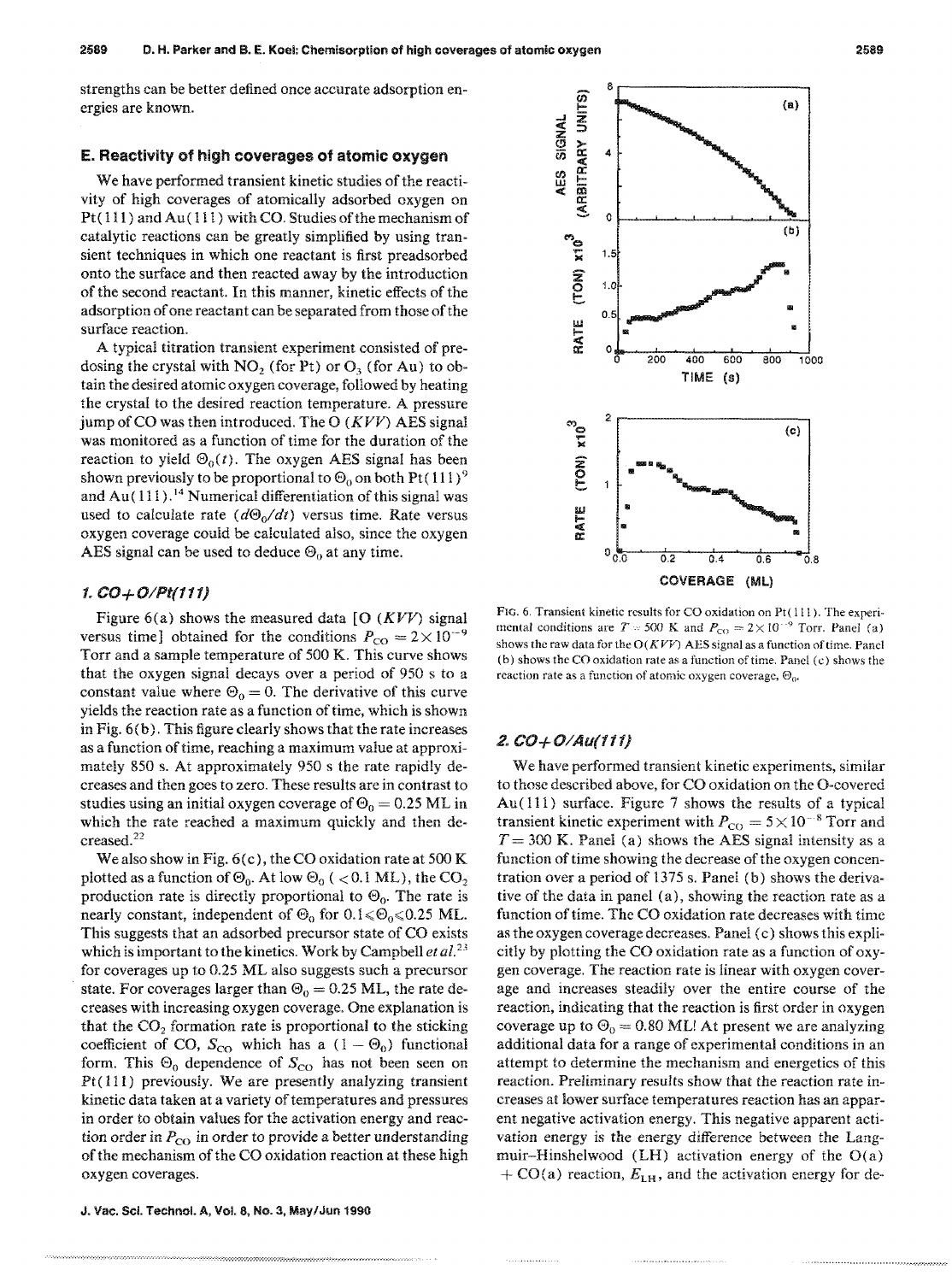strengths can be better defined once accurate adsorption energies are known.

#### E. Reactivity of high coverages of atomic oxygen

We have performed transient kinetic studies of the reactivity of high coverages of atomically adsorbed oxygen on  $Pt(111)$  and  $Au(111)$  with CO. Studies of the mechanism of catalytic reactions can be greatly simplified by using transient techniques in which one reactant is first preadsorbed onto the surface and then reacted away by the introduction of the second reactant. In this manner, kinetic effects of the adsorption of one reactant can be separated from those of the surface reaction.

A typical titration transient experiment consisted of predosing the crystal with  $NO_2$  (for Pt) or  $O_3$  (for Au) to obtain the desired atomic oxygen coverage, followed by heating the crystal to the desired reaction temperature. A pressure jump of CO was then introduced. The O  $(KVV)$  AES signal was monitored as a function of time for the duration of the reaction to yield  $\Theta_0(t)$ . The oxygen AES signal has been shown previously to be proportional to  $\Theta_0$  on both Pt(111)<sup>9</sup> and Au( $111$ ).<sup>14</sup> Numerical differentiation of this signal was used to calculate rate  $(d\Theta_0/dt)$  versus time. Rate versus oxygen coverage could be calculated also, since the oxygen AES signal can be used to deduce  $\Theta_0$  at any time.

#### *1. CO+OIPt(111)*

Figure 6(a) shows the measured data [O  $(KVV)$  signal versus time] obtained for the conditions  $P_{\text{CO}} = 2 \times 10^{-9}$ Torr and a sample temperature of 500 K. This curve shows that the oxygen signal decays over a period of 950 s to a constant value where  $\Theta_0 = 0$ . The derivative of this curve yields the reaction rate as a function of time, which is shown in Fig. 6(b). This figure clearly shows that the rate increases as a function of time, reaching a maximum value at approximately 850 s. At approximately 950 s the rate rapidly decreases and then goes to zero. These results are in contrast to studies using an initial oxygen coverage of  $\Theta_0 = 0.25$  ML in which the rate reached a maximum quickly and then decreased.<sup>22</sup>

We also show in Fig. 6(c), the CO oxidation rate at 500 K plotted as a function of  $\Theta_0$ . At low  $\Theta_0$  ( < 0.1 ML), the CO<sub>2</sub> production rate is directly proportional to  $\Theta_0$ . The rate is nearly constant, independent of  $\Theta_0$  for  $0.1 \le \Theta_0 \le 0.25$  ML. This suggests that an adsorbed precursor state of CO exists which is important to the kinetics. Work by Campbell *et al.*<sup>23</sup> for coverages up to 0.25 ML also suggests such a precursor state. For coverages larger than  $\Theta_0 = 0.25$  ML, the rate decreases with increasing oxygen coverage. One explanation is that the  $CO<sub>2</sub>$  formation rate is proportional to the sticking coefficient of CO,  $S_{\text{CO}}$  which has a  $(1 - \Theta_0)$  functional form. This  $\Theta_0$  dependence of  $S_{\text{CO}}$  has not been seen on  $Pt(111)$  previously. We are presently analyzing transient kinetic data taken at a variety of temperatures and pressures in order to obtain values for the activation energy and reaction order in  $P_{CO}$  in order to provide a better understanding of the mechanism of the CO oxidation reaction at these high oxygen coverages.

J. Vac. Sci. Technol. A, Vol. 8, No.3, May/Jun 1990

........ ,", ................•....•... -....... -..... -.-..... -..... -... -......•.•...•.•. -.-.-.-.-•.•.•.•.• ~-:.:-.;.:.:.:.;.:.:o:.:.:o;.;.:.;.:.:.:.:.:;:.:.:.:.:-;.:.:.;-;.:.:.:.: •.• ~-:.;.: •.• :.-•.•.•.• -•.• -•.... -.



FIG. 6. Transient kinetic results for CO oxidation on  $Pt(111)$ . The experimental conditions are  $T = 500$  K and  $P_{\text{CO}} = 2 \times 10^{-9}$  Torr. Panel (a) shows the raw data for the  $O(KVV)$  AES signal as a function of time. Panel (b) shows the CO oxidation rate as a function of time. Panel (c) shows the reaction rate as a function of atomic oxygen coverage,  $\Theta_0$ .

#### *20 CO+O/Au(f11}*

We have performed transient kinetic experiments, similar to those described above, for CO oxidation on the O-covered Au( 111) surface. Figure 7 shows the results of a typical transient kinetic experiment with  $P_{CO} = 5 \times 10^{-8}$  Torr and  $T = 300$  K. Panel (a) shows the AES signal intensity as a function of time showing the decrease of the oxygen concentration over a period of 1375 s. Panel (b) shows the derivative of the data in panel (a), showing the reaction rate as a function of time. The CO oxidation rate decreases with time as the oxygen coverage decreases. Panel (c) shows this explicitly by plotting the CO oxidation rate as a function of oxygen coverage. The reaction rate is linear with oxygen coverage and increases steadily over the entire course of the reaction, indicating that the reaction is first order in oxygen coverage up to  $\Theta_0 = 0.80$  ML! At present we are analyzing additional data for a range of experimental conditions in an attempt to determine the mechanism and energetics of this reaction. Preliminary results show that the reaction rate increases at lower surface temperatures reaction has an apparent negative activation energy. This negative apparent activation energy is the energy difference between the Langmuir-Hinshelwood (LH) activation energy of the O(a) + CO(a) reaction,  $E_{\text{LH}}$ , and the activation energy for de-